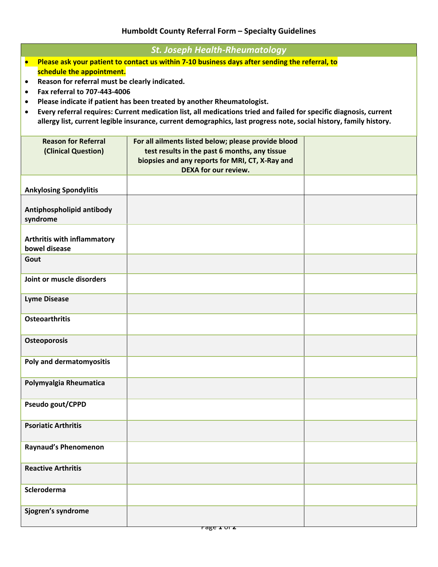## **Humboldt County Referral Form – Specialty Guidelines**

| <b>St. Joseph Health-Rheumatology</b>                                                                                           |                                                     |  |  |
|---------------------------------------------------------------------------------------------------------------------------------|-----------------------------------------------------|--|--|
| Please ask your patient to contact us within 7-10 business days after sending the referral, to<br>$\bullet$                     |                                                     |  |  |
| schedule the appointment.                                                                                                       |                                                     |  |  |
| Reason for referral must be clearly indicated.<br>$\bullet$                                                                     |                                                     |  |  |
| Fax referral to 707-443-4006<br>$\bullet$                                                                                       |                                                     |  |  |
| Please indicate if patient has been treated by another Rheumatologist.<br>$\bullet$                                             |                                                     |  |  |
| Every referral requires: Current medication list, all medications tried and failed for specific diagnosis, current<br>$\bullet$ |                                                     |  |  |
| allergy list, current legible insurance, current demographics, last progress note, social history, family history.              |                                                     |  |  |
|                                                                                                                                 |                                                     |  |  |
| <b>Reason for Referral</b>                                                                                                      | For all ailments listed below; please provide blood |  |  |
| (Clinical Question)                                                                                                             | test results in the past 6 months, any tissue       |  |  |
|                                                                                                                                 | biopsies and any reports for MRI, CT, X-Ray and     |  |  |
|                                                                                                                                 | DEXA for our review.                                |  |  |
|                                                                                                                                 |                                                     |  |  |
| <b>Ankylosing Spondylitis</b>                                                                                                   |                                                     |  |  |
|                                                                                                                                 |                                                     |  |  |
| Antiphospholipid antibody                                                                                                       |                                                     |  |  |
| syndrome                                                                                                                        |                                                     |  |  |
|                                                                                                                                 |                                                     |  |  |
| <b>Arthritis with inflammatory</b>                                                                                              |                                                     |  |  |
| bowel disease                                                                                                                   |                                                     |  |  |
| Gout                                                                                                                            |                                                     |  |  |
|                                                                                                                                 |                                                     |  |  |
| Joint or muscle disorders                                                                                                       |                                                     |  |  |
|                                                                                                                                 |                                                     |  |  |
| <b>Lyme Disease</b>                                                                                                             |                                                     |  |  |
|                                                                                                                                 |                                                     |  |  |
| <b>Osteoarthritis</b>                                                                                                           |                                                     |  |  |
|                                                                                                                                 |                                                     |  |  |
| <b>Osteoporosis</b>                                                                                                             |                                                     |  |  |
|                                                                                                                                 |                                                     |  |  |
| Poly and dermatomyositis                                                                                                        |                                                     |  |  |
|                                                                                                                                 |                                                     |  |  |
| Polymyalgia Rheumatica                                                                                                          |                                                     |  |  |
|                                                                                                                                 |                                                     |  |  |
| Pseudo gout/CPPD                                                                                                                |                                                     |  |  |
|                                                                                                                                 |                                                     |  |  |
| <b>Psoriatic Arthritis</b>                                                                                                      |                                                     |  |  |
|                                                                                                                                 |                                                     |  |  |
| Raynaud's Phenomenon                                                                                                            |                                                     |  |  |
|                                                                                                                                 |                                                     |  |  |
| <b>Reactive Arthritis</b>                                                                                                       |                                                     |  |  |
|                                                                                                                                 |                                                     |  |  |
| Scleroderma                                                                                                                     |                                                     |  |  |
|                                                                                                                                 |                                                     |  |  |
| Sjogren's syndrome                                                                                                              |                                                     |  |  |
|                                                                                                                                 |                                                     |  |  |
|                                                                                                                                 |                                                     |  |  |